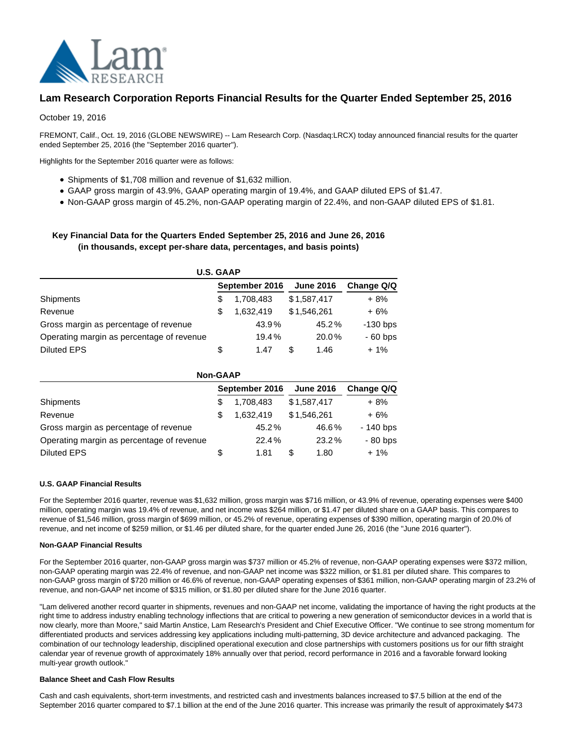

# **Lam Research Corporation Reports Financial Results for the Quarter Ended September 25, 2016**

October 19, 2016

FREMONT, Calif., Oct. 19, 2016 (GLOBE NEWSWIRE) -- Lam Research Corp. (Nasdaq:LRCX) today announced financial results for the quarter ended September 25, 2016 (the "September 2016 quarter").

Highlights for the September 2016 quarter were as follows:

- Shipments of \$1,708 million and revenue of \$1,632 million.
- GAAP gross margin of 43.9%, GAAP operating margin of 19.4%, and GAAP diluted EPS of \$1.47.
- Non-GAAP gross margin of 45.2%, non-GAAP operating margin of 22.4%, and non-GAAP diluted EPS of \$1.81.

## **Key Financial Data for the Quarters Ended September 25, 2016 and June 26, 2016 (in thousands, except per-share data, percentages, and basis points)**

| <b>U.S. GAAP</b>                          |    |                |                  |            |  |  |  |  |
|-------------------------------------------|----|----------------|------------------|------------|--|--|--|--|
| Shipments                                 |    | September 2016 | <b>June 2016</b> | Change Q/Q |  |  |  |  |
|                                           |    | 1,708,483      | \$1,587,417      | $+8%$      |  |  |  |  |
| Revenue                                   | S  | 1.632.419      | \$1,546,261      | $+6%$      |  |  |  |  |
| Gross margin as percentage of revenue     |    | 43.9%          | 45.2%            | $-130$ bps |  |  |  |  |
| Operating margin as percentage of revenue |    | 19.4%          | 20.0%            | $-60$ bps  |  |  |  |  |
| Diluted EPS                               | \$ | 1.47           | S<br>1.46        | $+1\%$     |  |  |  |  |

| <b>Non-GAAP</b>                           |                |           |             |            |  |  |  |  |
|-------------------------------------------|----------------|-----------|-------------|------------|--|--|--|--|
|                                           | September 2016 |           |             | Change Q/Q |  |  |  |  |
| Shipments                                 | S              | 1,708,483 | \$1,587,417 | + 8%       |  |  |  |  |
| Revenue                                   |                | 1.632.419 | \$1,546,261 | $+6%$      |  |  |  |  |
| Gross margin as percentage of revenue     |                | 45.2%     | 46.6%       | - 140 bps  |  |  |  |  |
| Operating margin as percentage of revenue |                | 22.4%     | 23.2%       | $-80$ bps  |  |  |  |  |
| <b>Diluted EPS</b>                        | S              | 1.81      | S<br>1.80   | $+1\%$     |  |  |  |  |

#### **U.S. GAAP Financial Results**

For the September 2016 quarter, revenue was \$1,632 million, gross margin was \$716 million, or 43.9% of revenue, operating expenses were \$400 million, operating margin was 19.4% of revenue, and net income was \$264 million, or \$1.47 per diluted share on a GAAP basis. This compares to revenue of \$1,546 million, gross margin of \$699 million, or 45.2% of revenue, operating expenses of \$390 million, operating margin of 20.0% of revenue, and net income of \$259 million, or \$1.46 per diluted share, for the quarter ended June 26, 2016 (the "June 2016 quarter").

#### **Non-GAAP Financial Results**

For the September 2016 quarter, non-GAAP gross margin was \$737 million or 45.2% of revenue, non-GAAP operating expenses were \$372 million, non-GAAP operating margin was 22.4% of revenue, and non-GAAP net income was \$322 million, or \$1.81 per diluted share. This compares to non-GAAP gross margin of \$720 million or 46.6% of revenue, non-GAAP operating expenses of \$361 million, non-GAAP operating margin of 23.2% of revenue, and non-GAAP net income of \$315 million, or \$1.80 per diluted share for the June 2016 quarter.

"Lam delivered another record quarter in shipments, revenues and non-GAAP net income, validating the importance of having the right products at the right time to address industry enabling technology inflections that are critical to powering a new generation of semiconductor devices in a world that is now clearly, more than Moore," said Martin Anstice, Lam Research's President and Chief Executive Officer. "We continue to see strong momentum for differentiated products and services addressing key applications including multi-patterning, 3D device architecture and advanced packaging. The combination of our technology leadership, disciplined operational execution and close partnerships with customers positions us for our fifth straight calendar year of revenue growth of approximately 18% annually over that period, record performance in 2016 and a favorable forward looking multi-year growth outlook."

#### **Balance Sheet and Cash Flow Results**

Cash and cash equivalents, short-term investments, and restricted cash and investments balances increased to \$7.5 billion at the end of the September 2016 quarter compared to \$7.1 billion at the end of the June 2016 quarter. This increase was primarily the result of approximately \$473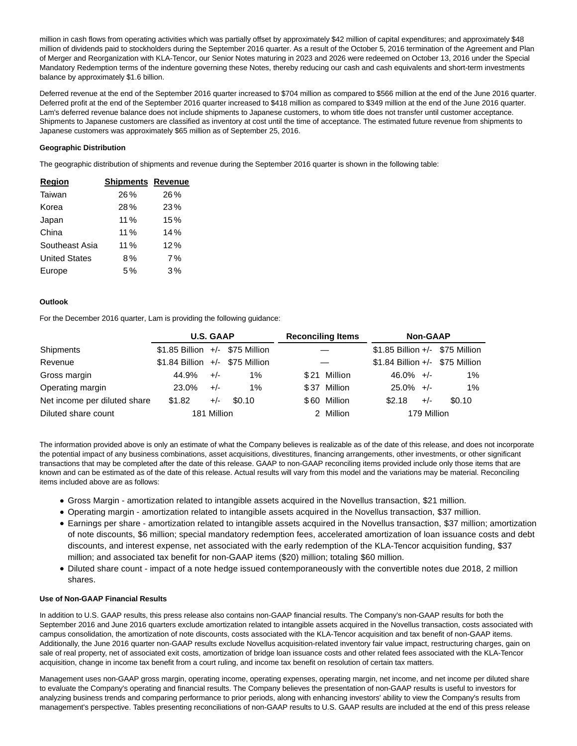million in cash flows from operating activities which was partially offset by approximately \$42 million of capital expenditures; and approximately \$48 million of dividends paid to stockholders during the September 2016 quarter. As a result of the October 5, 2016 termination of the Agreement and Plan of Merger and Reorganization with KLA-Tencor, our Senior Notes maturing in 2023 and 2026 were redeemed on October 13, 2016 under the Special Mandatory Redemption terms of the indenture governing these Notes, thereby reducing our cash and cash equivalents and short-term investments balance by approximately \$1.6 billion.

Deferred revenue at the end of the September 2016 quarter increased to \$704 million as compared to \$566 million at the end of the June 2016 quarter. Deferred profit at the end of the September 2016 quarter increased to \$418 million as compared to \$349 million at the end of the June 2016 quarter. Lam's deferred revenue balance does not include shipments to Japanese customers, to whom title does not transfer until customer acceptance. Shipments to Japanese customers are classified as inventory at cost until the time of acceptance. The estimated future revenue from shipments to Japanese customers was approximately \$65 million as of September 25, 2016.

#### **Geographic Distribution**

The geographic distribution of shipments and revenue during the September 2016 quarter is shown in the following table:

| <b>Region</b>        | <b>Shipments Revenue</b> |     |
|----------------------|--------------------------|-----|
| Taiwan               | 26%                      | 26% |
| Korea                | 28%                      | 23% |
| Japan                | 11%                      | 15% |
| China                | 11%                      | 14% |
| Southeast Asia       | 11%                      | 12% |
| <b>United States</b> | 8%                       | 7%  |
| Europe               | 5%                       | 3%  |

### **Outlook**

For the December 2016 quarter, Lam is providing the following guidance:

|                              | <b>U.S. GAAP</b>                   |             | <b>Reconciling Items</b> |      | <b>Non-GAAP</b> |                                    |             |        |  |
|------------------------------|------------------------------------|-------------|--------------------------|------|-----------------|------------------------------------|-------------|--------|--|
| <b>Shipments</b>             | $$1.85$ Billion $+/-$ \$75 Million |             |                          |      |                 | $$1.85$ Billion $+/-$ \$75 Million |             |        |  |
| Revenue                      | $$1.84$ Billion $+/-$ \$75 Million |             |                          |      |                 | \$1.84 Billion +/- \$75 Million    |             |        |  |
| Gross margin                 | 44.9%                              | $+/-$       | $1\%$                    | \$21 | Million         | $46.0\% +/-$                       |             | 1%     |  |
| Operating margin             | 23.0%                              | $+/-$       | $1\%$                    |      | \$37 Million    | $25.0\% +/-$                       |             | 1%     |  |
| Net income per diluted share | \$1.82                             | $+/-$       | \$0.10                   |      | \$60 Million    | \$2.18                             | $+/-$       | \$0.10 |  |
| Diluted share count          |                                    | 181 Million |                          |      | 2 Million       |                                    | 179 Million |        |  |

The information provided above is only an estimate of what the Company believes is realizable as of the date of this release, and does not incorporate the potential impact of any business combinations, asset acquisitions, divestitures, financing arrangements, other investments, or other significant transactions that may be completed after the date of this release. GAAP to non-GAAP reconciling items provided include only those items that are known and can be estimated as of the date of this release. Actual results will vary from this model and the variations may be material. Reconciling items included above are as follows:

- Gross Margin amortization related to intangible assets acquired in the Novellus transaction, \$21 million.
- Operating margin amortization related to intangible assets acquired in the Novellus transaction, \$37 million.
- Earnings per share amortization related to intangible assets acquired in the Novellus transaction, \$37 million; amortization of note discounts, \$6 million; special mandatory redemption fees, accelerated amortization of loan issuance costs and debt discounts, and interest expense, net associated with the early redemption of the KLA-Tencor acquisition funding, \$37 million; and associated tax benefit for non-GAAP items (\$20) million; totaling \$60 million.
- Diluted share count impact of a note hedge issued contemporaneously with the convertible notes due 2018, 2 million shares.

#### **Use of Non-GAAP Financial Results**

In addition to U.S. GAAP results, this press release also contains non-GAAP financial results. The Company's non-GAAP results for both the September 2016 and June 2016 quarters exclude amortization related to intangible assets acquired in the Novellus transaction, costs associated with campus consolidation, the amortization of note discounts, costs associated with the KLA-Tencor acquisition and tax benefit of non-GAAP items. Additionally, the June 2016 quarter non-GAAP results exclude Novellus acquisition-related inventory fair value impact, restructuring charges, gain on sale of real property, net of associated exit costs, amortization of bridge loan issuance costs and other related fees associated with the KLA-Tencor acquisition, change in income tax benefit from a court ruling, and income tax benefit on resolution of certain tax matters.

Management uses non-GAAP gross margin, operating income, operating expenses, operating margin, net income, and net income per diluted share to evaluate the Company's operating and financial results. The Company believes the presentation of non-GAAP results is useful to investors for analyzing business trends and comparing performance to prior periods, along with enhancing investors' ability to view the Company's results from management's perspective. Tables presenting reconciliations of non-GAAP results to U.S. GAAP results are included at the end of this press release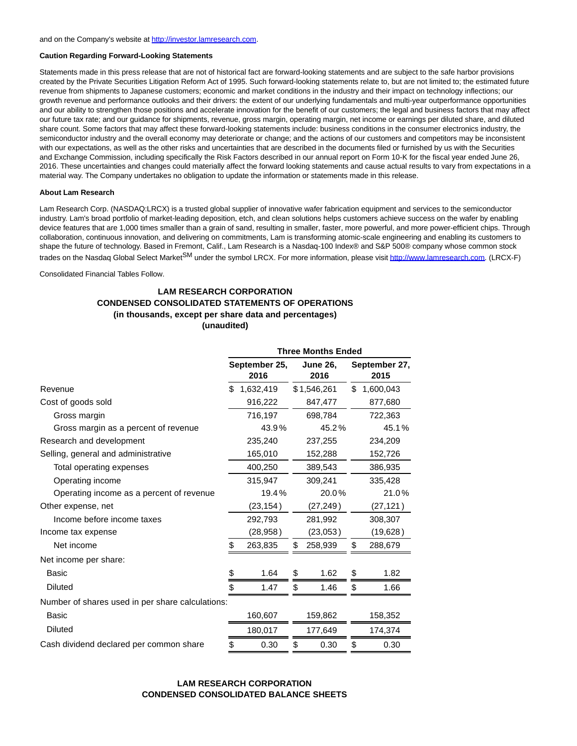#### **Caution Regarding Forward-Looking Statements**

Statements made in this press release that are not of historical fact are forward-looking statements and are subject to the safe harbor provisions created by the Private Securities Litigation Reform Act of 1995. Such forward-looking statements relate to, but are not limited to; the estimated future revenue from shipments to Japanese customers; economic and market conditions in the industry and their impact on technology inflections; our growth revenue and performance outlooks and their drivers: the extent of our underlying fundamentals and multi-year outperformance opportunities and our ability to strengthen those positions and accelerate innovation for the benefit of our customers; the legal and business factors that may affect our future tax rate; and our guidance for shipments, revenue, gross margin, operating margin, net income or earnings per diluted share, and diluted share count. Some factors that may affect these forward-looking statements include: business conditions in the consumer electronics industry, the semiconductor industry and the overall economy may deteriorate or change; and the actions of our customers and competitors may be inconsistent with our expectations, as well as the other risks and uncertainties that are described in the documents filed or furnished by us with the Securities and Exchange Commission, including specifically the Risk Factors described in our annual report on Form 10-K for the fiscal year ended June 26, 2016. These uncertainties and changes could materially affect the forward looking statements and cause actual results to vary from expectations in a material way. The Company undertakes no obligation to update the information or statements made in this release.

#### **About Lam Research**

Lam Research Corp. (NASDAQ:LRCX) is a trusted global supplier of innovative wafer fabrication equipment and services to the semiconductor industry. Lam's broad portfolio of market-leading deposition, etch, and clean solutions helps customers achieve success on the wafer by enabling device features that are 1,000 times smaller than a grain of sand, resulting in smaller, faster, more powerful, and more power-efficient chips. Through collaboration, continuous innovation, and delivering on commitments, Lam is transforming atomic-scale engineering and enabling its customers to shape the future of technology. Based in Fremont, Calif., Lam Research is a Nasdaq-100 Index® and S&P 500® company whose common stock trades on the Nasdaq Global Select Market<sup>SM</sup> under the symbol LRCX. For more information, please visi[t http://www.lamresearch.com.](https://www.globenewswire.com/Tracker?data=MoBpOj_pQ9H7W1sdLHRJtjoIvmLVAdVD8AQZB4H5bzUBFKXfOjEWNlqAJC7jfWY9BmuDjLscI7tLtf_AuzPHnjrUzooQTXCkfaxi-ZOToTo=) (LRCX-F)

Consolidated Financial Tables Follow.

### **LAM RESEARCH CORPORATION CONDENSED CONSOLIDATED STATEMENTS OF OPERATIONS (in thousands, except per share data and percentages) (unaudited)**

|                                                  | <b>Three Months Ended</b> |                       |    |                         |    |                       |  |  |
|--------------------------------------------------|---------------------------|-----------------------|----|-------------------------|----|-----------------------|--|--|
|                                                  |                           | September 25,<br>2016 |    | <b>June 26,</b><br>2016 |    | September 27,<br>2015 |  |  |
| Revenue                                          | S.                        | 1,632,419             |    | \$1,546,261             | \$ | 1,600,043             |  |  |
| Cost of goods sold                               |                           | 916,222               |    | 847,477                 |    | 877,680               |  |  |
| Gross margin                                     |                           | 716.197               |    | 698.784                 |    | 722.363               |  |  |
| Gross margin as a percent of revenue             |                           | 43.9%                 |    | 45.2%                   |    | 45.1%                 |  |  |
| Research and development                         |                           | 235,240               |    | 237,255                 |    | 234,209               |  |  |
| Selling, general and administrative              |                           | 165,010               |    | 152,288                 |    | 152,726               |  |  |
| Total operating expenses                         |                           | 400,250               |    | 389,543                 |    | 386,935               |  |  |
| Operating income                                 |                           | 315,947               |    | 309.241                 |    | 335,428               |  |  |
| Operating income as a percent of revenue         |                           | 19.4%                 |    | 20.0%                   |    | 21.0%                 |  |  |
| Other expense, net                               |                           | (23, 154)             |    | (27, 249)               |    | (27, 121)             |  |  |
| Income before income taxes                       |                           | 292,793               |    | 281,992                 |    | 308,307               |  |  |
| Income tax expense                               |                           | (28, 958)             |    | (23,053)                |    | (19, 628)             |  |  |
| Net income                                       | \$                        | 263,835               | \$ | 258,939                 | \$ | 288,679               |  |  |
| Net income per share:                            |                           |                       |    |                         |    |                       |  |  |
| Basic                                            |                           | 1.64                  | \$ | 1.62                    | \$ | 1.82                  |  |  |
| <b>Diluted</b>                                   | \$                        | 1.47                  | \$ | 1.46                    | \$ | 1.66                  |  |  |
| Number of shares used in per share calculations: |                           |                       |    |                         |    |                       |  |  |
| Basic                                            |                           | 160,607               |    | 159,862                 |    | 158,352               |  |  |
| <b>Diluted</b>                                   |                           | 180,017               |    | 177,649                 |    | 174,374               |  |  |
| Cash dividend declared per common share          | \$                        | 0.30                  | \$ | 0.30                    | \$ | 0.30                  |  |  |

## **LAM RESEARCH CORPORATION CONDENSED CONSOLIDATED BALANCE SHEETS**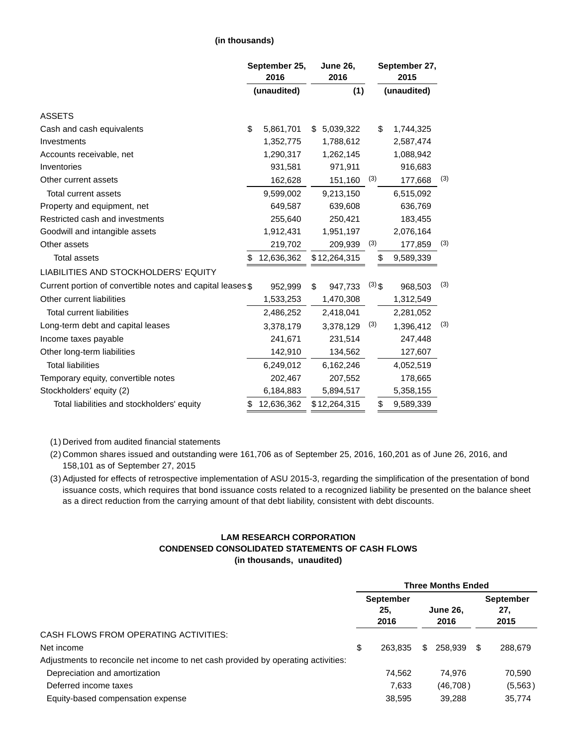### **(in thousands)**

|                                                            | September 25,<br>2016 |             | <b>June 26,</b><br>2016 |              |          | September 27,<br>2015 |             |     |  |
|------------------------------------------------------------|-----------------------|-------------|-------------------------|--------------|----------|-----------------------|-------------|-----|--|
|                                                            |                       | (unaudited) |                         | (1)          |          |                       | (unaudited) |     |  |
| <b>ASSETS</b>                                              |                       |             |                         |              |          |                       |             |     |  |
| Cash and cash equivalents                                  | \$                    | 5,861,701   | \$                      | 5,039,322    |          | \$                    | 1,744,325   |     |  |
| Investments                                                |                       | 1,352,775   |                         | 1,788,612    |          |                       | 2,587,474   |     |  |
| Accounts receivable, net                                   |                       | 1,290,317   |                         | 1,262,145    |          |                       | 1,088,942   |     |  |
| Inventories                                                |                       | 931,581     |                         | 971,911      |          |                       | 916,683     |     |  |
| Other current assets                                       |                       | 162,628     |                         | 151,160      | (3)      |                       | 177,668     | (3) |  |
| Total current assets                                       |                       | 9,599,002   |                         | 9,213,150    |          |                       | 6,515,092   |     |  |
| Property and equipment, net                                |                       | 649,587     |                         | 639,608      |          |                       | 636,769     |     |  |
| Restricted cash and investments                            |                       | 255,640     |                         | 250,421      |          |                       | 183,455     |     |  |
| Goodwill and intangible assets                             |                       | 1,912,431   |                         | 1,951,197    |          |                       | 2,076,164   |     |  |
| Other assets                                               |                       | 219,702     |                         | 209,939      | (3)      |                       | 177,859     | (3) |  |
| <b>Total assets</b>                                        | S                     | 12,636,362  |                         | \$12,264,315 |          | \$                    | 9,589,339   |     |  |
| LIABILITIES AND STOCKHOLDERS' EQUITY                       |                       |             |                         |              |          |                       |             |     |  |
| Current portion of convertible notes and capital leases \$ |                       | 952,999     | \$                      | 947,733      | $(3)$ \$ |                       | 968,503     | (3) |  |
| Other current liabilities                                  |                       | 1,533,253   |                         | 1,470,308    |          |                       | 1,312,549   |     |  |
| <b>Total current liabilities</b>                           |                       | 2,486,252   |                         | 2,418,041    |          |                       | 2,281,052   |     |  |
| Long-term debt and capital leases                          |                       | 3,378,179   |                         | 3,378,129    | (3)      |                       | 1,396,412   | (3) |  |
| Income taxes payable                                       |                       | 241,671     |                         | 231,514      |          |                       | 247,448     |     |  |
| Other long-term liabilities                                |                       | 142,910     |                         | 134,562      |          |                       | 127,607     |     |  |
| <b>Total liabilities</b>                                   |                       | 6,249,012   |                         | 6,162,246    |          |                       | 4,052,519   |     |  |
| Temporary equity, convertible notes                        |                       | 202,467     |                         | 207,552      |          |                       | 178,665     |     |  |
| Stockholders' equity (2)                                   |                       | 6,184,883   |                         | 5,894,517    |          |                       | 5,358,155   |     |  |
| Total liabilities and stockholders' equity                 | \$                    | 12,636,362  |                         | \$12,264,315 |          | \$                    | 9,589,339   |     |  |

(1) Derived from audited financial statements

(2) Common shares issued and outstanding were 161,706 as of September 25, 2016, 160,201 as of June 26, 2016, and 158,101 as of September 27, 2015

(3) Adjusted for effects of retrospective implementation of ASU 2015-3, regarding the simplification of the presentation of bond issuance costs, which requires that bond issuance costs related to a recognized liability be presented on the balance sheet as a direct reduction from the carrying amount of that debt liability, consistent with debt discounts.

### **LAM RESEARCH CORPORATION CONDENSED CONSOLIDATED STATEMENTS OF CASH FLOWS (in thousands, unaudited)**

|                                                                                   | <b>Three Months Ended</b> |                                 |    |                         |    |                                 |  |
|-----------------------------------------------------------------------------------|---------------------------|---------------------------------|----|-------------------------|----|---------------------------------|--|
|                                                                                   |                           | <b>September</b><br>25.<br>2016 |    | <b>June 26,</b><br>2016 |    | <b>September</b><br>27.<br>2015 |  |
| CASH FLOWS FROM OPERATING ACTIVITIES:                                             |                           |                                 |    |                         |    |                                 |  |
| Net income                                                                        | \$                        | 263.835                         | \$ | 258.939                 | S. | 288,679                         |  |
| Adjustments to reconcile net income to net cash provided by operating activities: |                           |                                 |    |                         |    |                                 |  |
| Depreciation and amortization                                                     |                           | 74.562                          |    | 74.976                  |    | 70,590                          |  |
| Deferred income taxes                                                             |                           | 7,633                           |    | (46,708)                |    | (5, 563)                        |  |
| Equity-based compensation expense                                                 |                           | 38.595                          |    | 39.288                  |    | 35,774                          |  |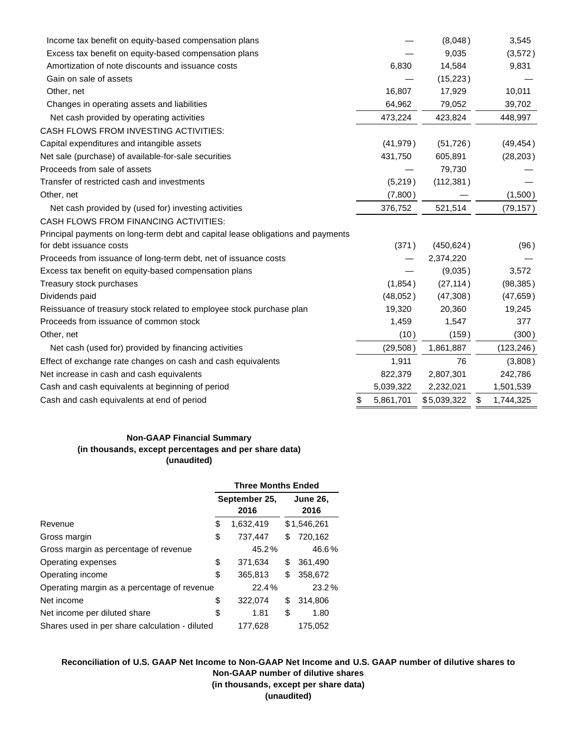| Income tax benefit on equity-based compensation plans                           |                 | (8,048)     | 3,545           |
|---------------------------------------------------------------------------------|-----------------|-------------|-----------------|
| Excess tax benefit on equity-based compensation plans                           |                 | 9,035       | (3,572)         |
| Amortization of note discounts and issuance costs                               | 6,830           | 14,584      | 9,831           |
| Gain on sale of assets                                                          |                 | (15, 223)   |                 |
| Other, net                                                                      | 16,807          | 17,929      | 10,011          |
| Changes in operating assets and liabilities                                     | 64,962          | 79,052      | 39,702          |
| Net cash provided by operating activities                                       | 473,224         | 423,824     | 448,997         |
| CASH FLOWS FROM INVESTING ACTIVITIES:                                           |                 |             |                 |
| Capital expenditures and intangible assets                                      | (41, 979)       | (51, 726)   | (49, 454)       |
| Net sale (purchase) of available-for-sale securities                            | 431,750         | 605,891     | (28, 203)       |
| Proceeds from sale of assets                                                    |                 | 79,730      |                 |
| Transfer of restricted cash and investments                                     | (5,219)         | (112, 381)  |                 |
| Other, net                                                                      | (7,800)         |             | (1,500)         |
| Net cash provided by (used for) investing activities                            | 376,752         | 521,514     | (79, 157)       |
| <b>CASH FLOWS FROM FINANCING ACTIVITIES:</b>                                    |                 |             |                 |
| Principal payments on long-term debt and capital lease obligations and payments |                 |             |                 |
| for debt issuance costs                                                         | (371)           | (450, 624)  | (96)            |
| Proceeds from issuance of long-term debt, net of issuance costs                 |                 | 2,374,220   |                 |
| Excess tax benefit on equity-based compensation plans                           |                 | (9,035)     | 3,572           |
| Treasury stock purchases                                                        | (1,854)         | (27, 114)   | (98, 385)       |
| Dividends paid                                                                  | (48,052)        | (47, 308)   | (47, 659)       |
| Reissuance of treasury stock related to employee stock purchase plan            | 19,320          | 20,360      | 19,245          |
| Proceeds from issuance of common stock                                          | 1,459           | 1,547       | 377             |
| Other, net                                                                      | (10)            | (159)       | (300)           |
| Net cash (used for) provided by financing activities                            | (29, 508)       | 1,861,887   | (123, 246)      |
| Effect of exchange rate changes on cash and cash equivalents                    | 1,911           | 76          | (3,808)         |
| Net increase in cash and cash equivalents                                       | 822,379         | 2,807,301   | 242,786         |
| Cash and cash equivalents at beginning of period                                | 5,039,322       | 2,232,021   | 1,501,539       |
| Cash and cash equivalents at end of period                                      | \$<br>5,861,701 | \$5,039,322 | \$<br>1,744,325 |

## **Non-GAAP Financial Summary (in thousands, except percentages and per share data) (unaudited)**

|                                                | <b>Three Months Ended</b> |           |    |                         |  |  |  |
|------------------------------------------------|---------------------------|-----------|----|-------------------------|--|--|--|
|                                                | September 25,<br>2016     |           |    | <b>June 26,</b><br>2016 |  |  |  |
| Revenue                                        | \$                        | 1,632,419 |    | \$1,546,261             |  |  |  |
| Gross margin                                   | \$                        | 737,447   | \$ | 720,162                 |  |  |  |
| Gross margin as percentage of revenue          |                           | 45.2%     |    | 46.6%                   |  |  |  |
| Operating expenses                             | \$                        | 371,634   | \$ | 361,490                 |  |  |  |
| Operating income                               | \$                        | 365,813   | \$ | 358,672                 |  |  |  |
| Operating margin as a percentage of revenue    |                           | 22.4%     |    | 23.2%                   |  |  |  |
| Net income                                     | \$                        | 322,074   | \$ | 314,806                 |  |  |  |
| Net income per diluted share                   | \$                        | 1.81      | \$ | 1.80                    |  |  |  |
| Shares used in per share calculation - diluted |                           | 177,628   |    | 175,052                 |  |  |  |

**Reconciliation of U.S. GAAP Net Income to Non-GAAP Net Income and U.S. GAAP number of dilutive shares to Non-GAAP number of dilutive shares (in thousands, except per share data) (unaudited)**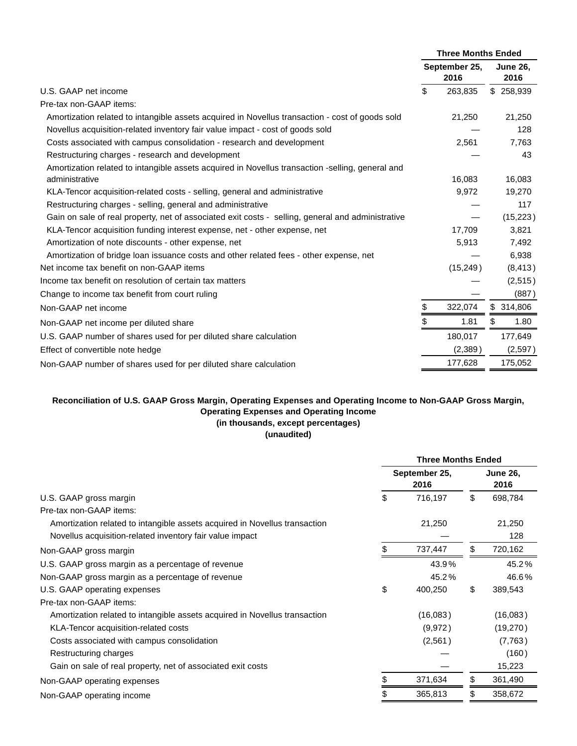|                                                                                                   | <b>Three Months Ended</b> |                       |    |                         |
|---------------------------------------------------------------------------------------------------|---------------------------|-----------------------|----|-------------------------|
|                                                                                                   |                           | September 25,<br>2016 |    | <b>June 26,</b><br>2016 |
| U.S. GAAP net income                                                                              | \$                        | 263,835               |    | \$258,939               |
| Pre-tax non-GAAP items:                                                                           |                           |                       |    |                         |
| Amortization related to intangible assets acquired in Novellus transaction - cost of goods sold   |                           | 21,250                |    | 21,250                  |
| Novellus acquisition-related inventory fair value impact - cost of goods sold                     |                           |                       |    | 128                     |
| Costs associated with campus consolidation - research and development                             |                           | 2,561                 |    | 7,763                   |
| Restructuring charges - research and development                                                  |                           |                       |    | 43                      |
| Amortization related to intangible assets acquired in Novellus transaction -selling, general and  |                           |                       |    |                         |
| administrative                                                                                    |                           | 16,083                |    | 16,083                  |
| KLA-Tencor acquisition-related costs - selling, general and administrative                        |                           | 9,972                 |    | 19,270                  |
| Restructuring charges - selling, general and administrative                                       |                           |                       |    | 117                     |
| Gain on sale of real property, net of associated exit costs - selling, general and administrative |                           |                       |    | (15, 223)               |
| KLA-Tencor acquisition funding interest expense, net - other expense, net                         |                           | 17,709                |    | 3,821                   |
| Amortization of note discounts - other expense, net                                               |                           | 5,913                 |    | 7,492                   |
| Amortization of bridge loan issuance costs and other related fees - other expense, net            |                           |                       |    | 6,938                   |
| Net income tax benefit on non-GAAP items                                                          |                           | (15, 249)             |    | (8, 413)                |
| Income tax benefit on resolution of certain tax matters                                           |                           |                       |    | (2,515)                 |
| Change to income tax benefit from court ruling                                                    |                           |                       |    | (887)                   |
| Non-GAAP net income                                                                               | \$                        | 322,074               |    | \$314,806               |
| Non-GAAP net income per diluted share                                                             | \$                        | 1.81                  | \$ | 1.80                    |
| U.S. GAAP number of shares used for per diluted share calculation                                 |                           | 180,017               |    | 177,649                 |
| Effect of convertible note hedge                                                                  |                           | (2,389)               |    | (2,597)                 |
| Non-GAAP number of shares used for per diluted share calculation                                  |                           | 177,628               |    | 175,052                 |
|                                                                                                   |                           |                       |    |                         |

# **Reconciliation of U.S. GAAP Gross Margin, Operating Expenses and Operating Income to Non-GAAP Gross Margin, Operating Expenses and Operating Income (in thousands, except percentages)**

# **(unaudited)**

|                                                                            | <b>Three Months Ended</b> |                       |    |                         |  |
|----------------------------------------------------------------------------|---------------------------|-----------------------|----|-------------------------|--|
|                                                                            |                           | September 25,<br>2016 |    | <b>June 26,</b><br>2016 |  |
| U.S. GAAP gross margin                                                     | \$                        | 716,197               | \$ | 698,784                 |  |
| Pre-tax non-GAAP items:                                                    |                           |                       |    |                         |  |
| Amortization related to intangible assets acquired in Novellus transaction |                           | 21,250                |    | 21,250                  |  |
| Novellus acquisition-related inventory fair value impact                   |                           |                       |    | 128                     |  |
| Non-GAAP gross margin                                                      |                           | 737,447               | \$ | 720,162                 |  |
| U.S. GAAP gross margin as a percentage of revenue                          |                           | 43.9%                 |    | 45.2%                   |  |
| Non-GAAP gross margin as a percentage of revenue                           |                           | 45.2%                 |    | 46.6%                   |  |
| U.S. GAAP operating expenses                                               | \$                        | 400,250               | \$ | 389,543                 |  |
| Pre-tax non-GAAP items:                                                    |                           |                       |    |                         |  |
| Amortization related to intangible assets acquired in Novellus transaction |                           | (16,083)              |    | (16,083)                |  |
| KLA-Tencor acquisition-related costs                                       |                           | (9,972)               |    | (19,270)                |  |
| Costs associated with campus consolidation                                 |                           | (2,561)               |    | (7,763)                 |  |
| Restructuring charges                                                      |                           |                       |    | (160)                   |  |
| Gain on sale of real property, net of associated exit costs                |                           |                       |    | 15,223                  |  |
| Non-GAAP operating expenses                                                |                           | 371,634               | \$ | 361,490                 |  |
| Non-GAAP operating income                                                  |                           | 365,813               |    | 358,672                 |  |